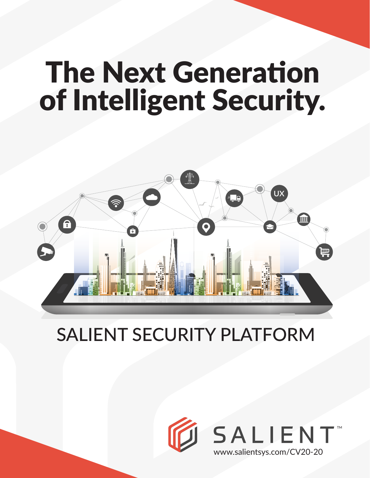# The Next Generation of Intelligent Security.



# SALIENT SECURITY PLATFORM



www.salientsys.com/CV20-20 **SALIENT**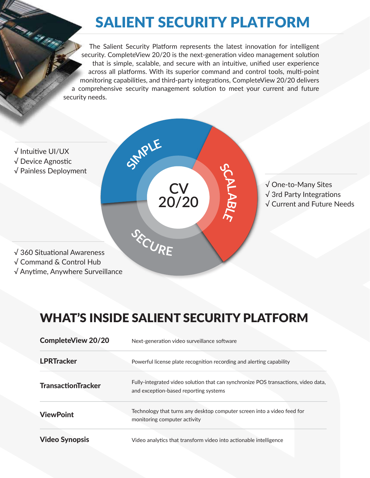#### SALIENT SECURITY PLATFORM

The Salient Security Platform represents the latest innovation for intelligent security. CompleteView 20/20 is the next-generation video management solution that is simple, scalable, and secure with an intuitive, unified user experience across all platforms. With its superior command and control tools, multi-point monitoring capabilities, and third-party integrations, CompleteView 20/20 delivers a comprehensive security management solution to meet your current and future security needs.

**SCAL**

**A**

**BLE**

√ Intuitive UI/UX √ Device Agnostic √ Painless Deployment

> √ One-to-Many Sites √ 3rd Party Integrations √ Current and Future Needs

√ 360 Situational Awareness √ Command & Control Hub √ Anytime, Anywhere Surveillance

#### WHAT'S INSIDE SALIENT SECURITY PLATFORM

**CV**

**20/20**

**S<sup>I</sup>MPL<sup>E</sup>**

**<sup>S</sup>ECUR<sup>E</sup>**

| <b>CompleteView 20/20</b> | Next-generation video surveillance software                                                                                 |
|---------------------------|-----------------------------------------------------------------------------------------------------------------------------|
| <b>LPRTracker</b>         | Powerful license plate recognition recording and alerting capability                                                        |
| <b>TransactionTracker</b> | Fully-integrated video solution that can synchronize POS transactions, video data,<br>and exception-based reporting systems |
| <b>ViewPoint</b>          | Technology that turns any desktop computer screen into a video feed for<br>monitoring computer activity                     |
| <b>Video Synopsis</b>     | Video analytics that transform video into actionable intelligence                                                           |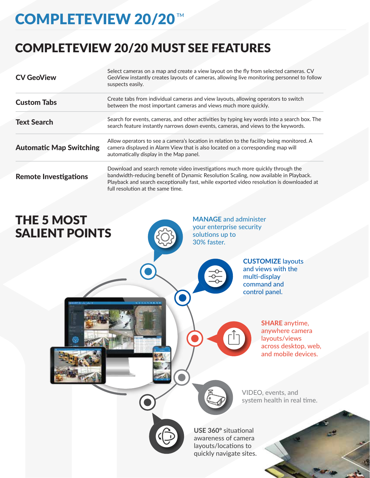## COMPLETEVIEW 20/20 **TM**

#### COMPLETEVIEW 20/20 MUST SEE FEATURES

| <b>CV GeoView</b>              | Select cameras on a map and create a view layout on the fly from selected cameras. CV<br>GeoView instantly creates layouts of cameras, allowing live monitoring personnel to follow<br>suspects easily.                                                                                                |
|--------------------------------|--------------------------------------------------------------------------------------------------------------------------------------------------------------------------------------------------------------------------------------------------------------------------------------------------------|
| <b>Custom Tabs</b>             | Create tabs from individual cameras and view layouts, allowing operators to switch<br>between the most important cameras and views much more quickly.                                                                                                                                                  |
| <b>Text Search</b>             | Search for events, cameras, and other activities by typing key words into a search box. The<br>search feature instantly narrows down events, cameras, and views to the keywords.                                                                                                                       |
| <b>Automatic Map Switching</b> | Allow operators to see a camera's location in relation to the facility being monitored. A<br>camera displayed in Alarm View that is also located on a corresponding map will<br>automatically display in the Map panel.                                                                                |
| <b>Remote Investigations</b>   | Download and search remote video investigations much more quickly through the<br>bandwidth-reducing benefit of Dynamic Resolution Scaling, now available in Playback.<br>Playback and search exceptionally fast, while exported video resolution is downloaded at<br>full resolution at the same time. |

#### THE 5 MOST SALIENT POINTS

**MANAGE** and administer your enterprise security solutions up to 30% faster.

> **CUSTOMIZE** layouts and views with the multi-display command and control panel.

> > **SHARE** anytime, anywhere camera layouts/views across desktop, web, and mobile devices.

VIDEO, events, and system health in real time.

**USE 360°** situational awareness of camera layouts/locations to quickly navigate sites.